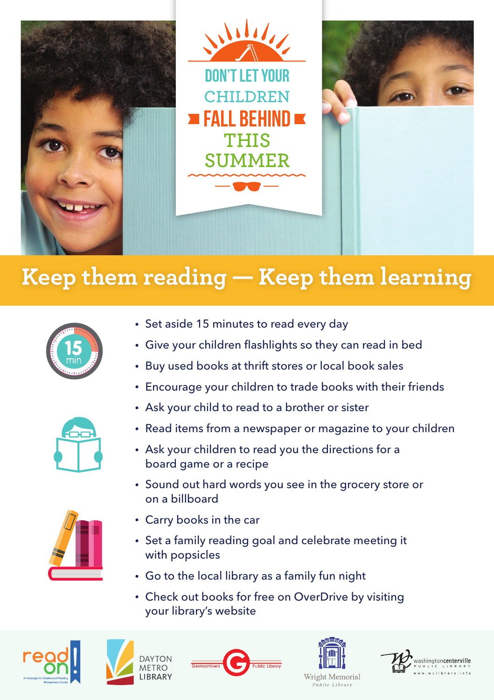

## $\mathbf{K}$ eep them reading —  $\mathbf{K}$ eep them learning



- Set aside 15 minutes to read every day
- Give your children flashlights so they can read in bed
- Buy used books at thrift stores or local book sales
- Encourage your children to trade books with their friends



- Read items from a newspaper or magazine to your children
- Ask your children to read you the directions for a board game or a recipe
- Sound out hard words you see in the grocery store or on a billboard



- Carry books in the car
- Set a family reading goal and celebrate meeting it with popsicles
- Go to the local library as a family fun night
- Check out books for free on OverDrive by visiting your library's website